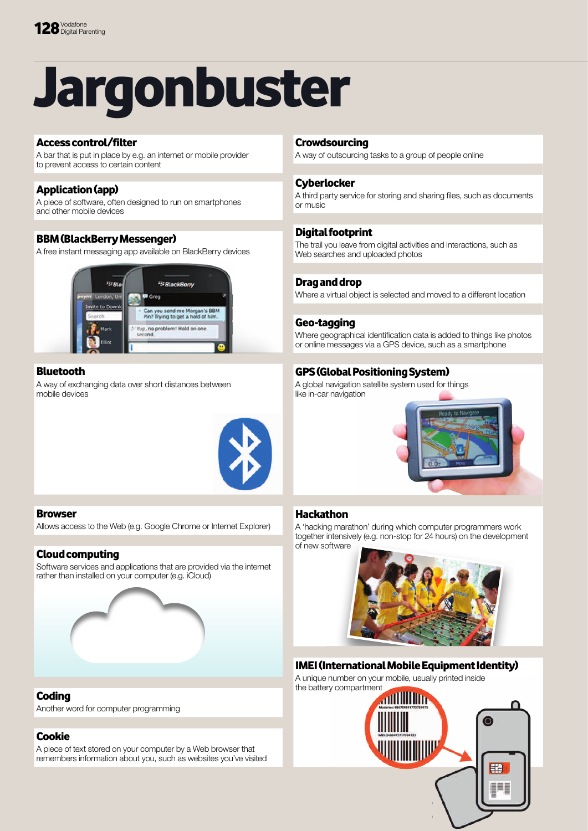# Jargonbuster

#### access control/filter

A bar that is put in place by e.g. an internet or mobile provider to prevent access to certain content

# Application (app)

A piece of software, often designed to run on smartphones and other mobile devices

#### bbM (blackberry Messenger)

A free instant messaging app available on BlackBerry devices



#### **Bluetooth**

A way of exchanging data over short distances between mobile devices



#### **Browser**

Allows access to the Web (e.g. Google Chrome or Internet Explorer)

# Cloud computing

Software services and applications that are provided via the internet rather than installed on your computer (e.g. iCloud)



# **Coding**

Another word for computer programming

# Cookie

A piece of text stored on your computer by a Web browser that remembers information about you, such as websites you've visited

#### **Crowdsourcing**

A way of outsourcing tasks to a group of people online

#### **Cyberlocker**

A third party service for storing and sharing files, such as documents or music

# **Digital footprint**

The trail you leave from digital activities and interactions, such as Web searches and uploaded photos

# Drag and drop

Where a virtual object is selected and moved to a different location

#### Geo-tagging

Where geographical identification data is added to things like photos or online messages via a GPS device, such as a smartphone

# GPS (Global Positioning System)

A global navigation satellite system used for things like in-car navigation



# **Hackathon**

A 'hacking marathon' during which computer programmers work together intensively (e.g. non-stop for 24 hours) on the development of new software



# IMEI (International Mobile Equipment Identity)

A unique number on your mobile, usually printed inside the battery compartment